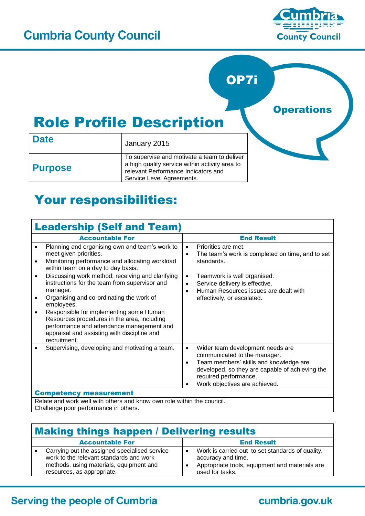

**Operations** 

OP7i

# Role Profile Description

| <b>Date</b>    | January 2015                                                                                                                                                      |
|----------------|-------------------------------------------------------------------------------------------------------------------------------------------------------------------|
| <b>Purpose</b> | To supervise and motivate a team to deliver<br>a high quality service within activity area to<br>relevant Performance Indicators and<br>Service Level Agreements. |

# Your responsibilities:

| <b>Leadership (Self and Team)</b>                                                                                                                                                                                                                                                                                                                                                          |                                                                                                                                                                                                                                                   |  |  |
|--------------------------------------------------------------------------------------------------------------------------------------------------------------------------------------------------------------------------------------------------------------------------------------------------------------------------------------------------------------------------------------------|---------------------------------------------------------------------------------------------------------------------------------------------------------------------------------------------------------------------------------------------------|--|--|
| <b>Accountable For</b>                                                                                                                                                                                                                                                                                                                                                                     | <b>End Result</b>                                                                                                                                                                                                                                 |  |  |
| Planning and organising own and team's work to<br>meet given priorities.<br>Monitoring performance and allocating workload<br>$\bullet$<br>within team on a day to day basis.                                                                                                                                                                                                              | Priorities are met.<br>$\bullet$<br>The team's work is completed on time, and to set<br>$\bullet$<br>standards.                                                                                                                                   |  |  |
| Discussing work method; receiving and clarifying<br>$\bullet$<br>instructions for the team from supervisor and<br>manager.<br>Organising and co-ordinating the work of<br>employees.<br>Responsible for implementing some Human<br>Resources procedures in the area, including<br>performance and attendance management and<br>appraisal and assisting with discipline and<br>recruitment. | Teamwork is well organised.<br>$\bullet$<br>Service delivery is effective.<br>$\bullet$<br>Human Resources issues are dealt with<br>$\bullet$<br>effectively, or escalated.                                                                       |  |  |
| Supervising, developing and motivating a team.                                                                                                                                                                                                                                                                                                                                             | Wider team development needs are<br>$\bullet$<br>communicated to the manager.<br>Team members' skills and knowledge are<br>$\bullet$<br>developed, so they are capable of achieving the<br>required performance.<br>Work objectives are achieved. |  |  |
| <b>Competency measurement</b>                                                                                                                                                                                                                                                                                                                                                              |                                                                                                                                                                                                                                                   |  |  |
| Relate and work well with others and know own role within the council.<br>Challenge poor performance in others.                                                                                                                                                                                                                                                                            |                                                                                                                                                                                                                                                   |  |  |

## Making things happen / Delivering results

| Carrying out the assigned specialised service<br>Work is carried out to set standards of quality,<br>work to the relevant standards and work<br>accuracy and time. | <b>Accountable For</b>                  | <b>End Result</b>                              |
|--------------------------------------------------------------------------------------------------------------------------------------------------------------------|-----------------------------------------|------------------------------------------------|
| resources, as appropriate.<br>used for tasks.                                                                                                                      | methods, using materials, equipment and | Appropriate tools, equipment and materials are |

#### **Serving the people of Cumbria**

## cumbria.gov.uk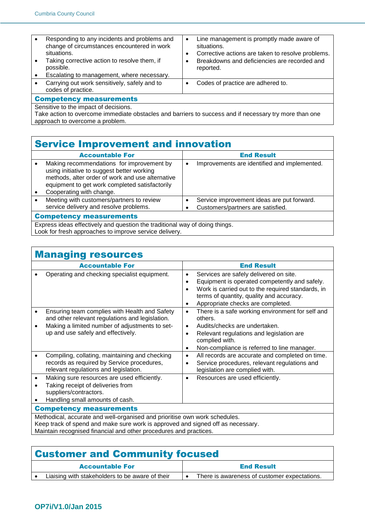| $\bullet$                                                                                                                                 | Responding to any incidents and problems and<br>change of circumstances encountered in work<br>situations.<br>Taking corrective action to resolve them, if<br>possible.<br>Escalating to management, where necessary. | $\bullet$<br>$\bullet$ | Line management is promptly made aware of<br>situations.<br>Corrective actions are taken to resolve problems.<br>Breakdowns and deficiencies are recorded and<br>reported. |
|-------------------------------------------------------------------------------------------------------------------------------------------|-----------------------------------------------------------------------------------------------------------------------------------------------------------------------------------------------------------------------|------------------------|----------------------------------------------------------------------------------------------------------------------------------------------------------------------------|
| $\bullet$                                                                                                                                 | Carrying out work sensitively, safely and to<br>codes of practice.                                                                                                                                                    | $\bullet$              | Codes of practice are adhered to.                                                                                                                                          |
| <b>Competency measurements</b>                                                                                                            |                                                                                                                                                                                                                       |                        |                                                                                                                                                                            |
| Sensitive to the impact of decisions.                                                                                                     |                                                                                                                                                                                                                       |                        |                                                                                                                                                                            |
| Take action to overcome immediate obstacles and barriers to success and if necessary try more than one<br>approach to overcome a problem. |                                                                                                                                                                                                                       |                        |                                                                                                                                                                            |

| <b>Service Improvement and innovation</b>                                                                                             |                                                                                                                                                                                                                           |           |                                              |
|---------------------------------------------------------------------------------------------------------------------------------------|---------------------------------------------------------------------------------------------------------------------------------------------------------------------------------------------------------------------------|-----------|----------------------------------------------|
|                                                                                                                                       | <b>Accountable For</b>                                                                                                                                                                                                    |           | <b>End Result</b>                            |
|                                                                                                                                       | Making recommendations for improvement by<br>using initiative to suggest better working<br>methods, alter order of work and use alternative<br>equipment to get work completed satisfactorily<br>Cooperating with change. | $\bullet$ | Improvements are identified and implemented. |
|                                                                                                                                       | Meeting with customers/partners to review                                                                                                                                                                                 | $\bullet$ | Service improvement ideas are put forward.   |
|                                                                                                                                       | service delivery and resolve problems.                                                                                                                                                                                    |           | Customers/partners are satisfied.            |
| <b>Competency measurements</b>                                                                                                        |                                                                                                                                                                                                                           |           |                                              |
| Express ideas effectively and question the traditional way of doing things.<br>Look for fresh approaches to improve service delivery. |                                                                                                                                                                                                                           |           |                                              |

| <b>Managing resources</b>                                                                                                                                                                                                          |                                                                                                                                                                                          |                                                  |                                                                                                                                                                                                                               |
|------------------------------------------------------------------------------------------------------------------------------------------------------------------------------------------------------------------------------------|------------------------------------------------------------------------------------------------------------------------------------------------------------------------------------------|--------------------------------------------------|-------------------------------------------------------------------------------------------------------------------------------------------------------------------------------------------------------------------------------|
|                                                                                                                                                                                                                                    | <b>Accountable For</b>                                                                                                                                                                   |                                                  | <b>End Result</b>                                                                                                                                                                                                             |
|                                                                                                                                                                                                                                    | Operating and checking specialist equipment.                                                                                                                                             | $\bullet$<br>$\bullet$<br>$\bullet$<br>$\bullet$ | Services are safely delivered on site.<br>Equipment is operated competently and safely.<br>Work is carried out to the required standards, in<br>terms of quantity, quality and accuracy.<br>Appropriate checks are completed. |
| $\bullet$                                                                                                                                                                                                                          | Ensuring team complies with Health and Safety<br>and other relevant regulations and legislation.<br>Making a limited number of adjustments to set-<br>up and use safely and effectively. | $\bullet$<br>$\bullet$<br>$\bullet$<br>$\bullet$ | There is a safe working environment for self and<br>others.<br>Audits/checks are undertaken.<br>Relevant regulations and legislation are<br>complied with.<br>Non-compliance is referred to line manager.                     |
|                                                                                                                                                                                                                                    | Compiling, collating, maintaining and checking<br>records as required by Service procedures,<br>relevant regulations and legislation.                                                    | $\bullet$<br>$\bullet$                           | All records are accurate and completed on time.<br>Service procedures, relevant regulations and<br>legislation are complied with.                                                                                             |
| $\bullet$<br>$\bullet$                                                                                                                                                                                                             | Making sure resources are used efficiently.<br>Taking receipt of deliveries from<br>suppliers/contractors.<br>Handling small amounts of cash.                                            | $\bullet$                                        | Resources are used efficiently.                                                                                                                                                                                               |
| <b>Competency measurements</b>                                                                                                                                                                                                     |                                                                                                                                                                                          |                                                  |                                                                                                                                                                                                                               |
| Methodical, accurate and well-organised and prioritise own work schedules.<br>Keep track of spend and make sure work is approved and signed off as necessary.<br>Maintain recognised financial and other procedures and practices. |                                                                                                                                                                                          |                                                  |                                                                                                                                                                                                                               |

Maintain recognised financial and other procedures and practices.

| <b>Customer and Community focused</b>           |                                              |  |  |
|-------------------------------------------------|----------------------------------------------|--|--|
| <b>Accountable For</b>                          | <b>End Result</b>                            |  |  |
| Liaising with stakeholders to be aware of their | There is awareness of customer expectations. |  |  |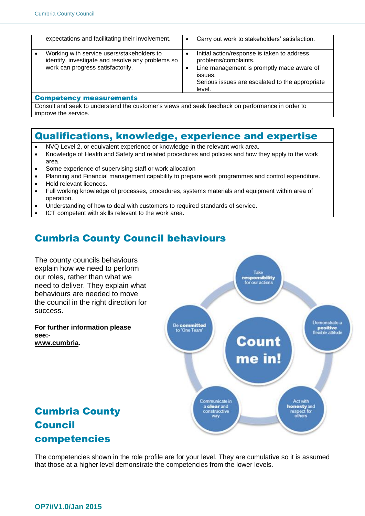|                                | expectations and facilitating their involvement.                                                                                     | $\bullet$ | Carry out work to stakeholders' satisfaction.                                                                                                                                            |
|--------------------------------|--------------------------------------------------------------------------------------------------------------------------------------|-----------|------------------------------------------------------------------------------------------------------------------------------------------------------------------------------------------|
|                                | Working with service users/stakeholders to<br>identify, investigate and resolve any problems so<br>work can progress satisfactorily. |           | Initial action/response is taken to address<br>problems/complaints.<br>Line management is promptly made aware of<br>issues.<br>Serious issues are escalated to the appropriate<br>level. |
| <b>Competency measurements</b> |                                                                                                                                      |           |                                                                                                                                                                                          |

Consult and seek to understand the customer's views and seek feedback on performance in order to improve the service.

#### Qualifications, knowledge, experience and expertise

- NVQ Level 2, or equivalent experience or knowledge in the relevant work area.
- Knowledge of Health and Safety and related procedures and policies and how they apply to the work area.
- Some experience of supervising staff or work allocation
- Planning and Financial management capability to prepare work programmes and control expenditure.
- Hold relevant licences.
- Full working knowledge of processes, procedures, systems materials and equipment within area of operation.
- Understanding of how to deal with customers to required standards of service.
- ICT competent with skills relevant to the work area.

#### Cumbria County Council behaviours



The competencies shown in the role profile are for your level. They are cumulative so it is assumed that those at a higher level demonstrate the competencies from the lower levels.

**OP7i/V1.0/Jan 2015**